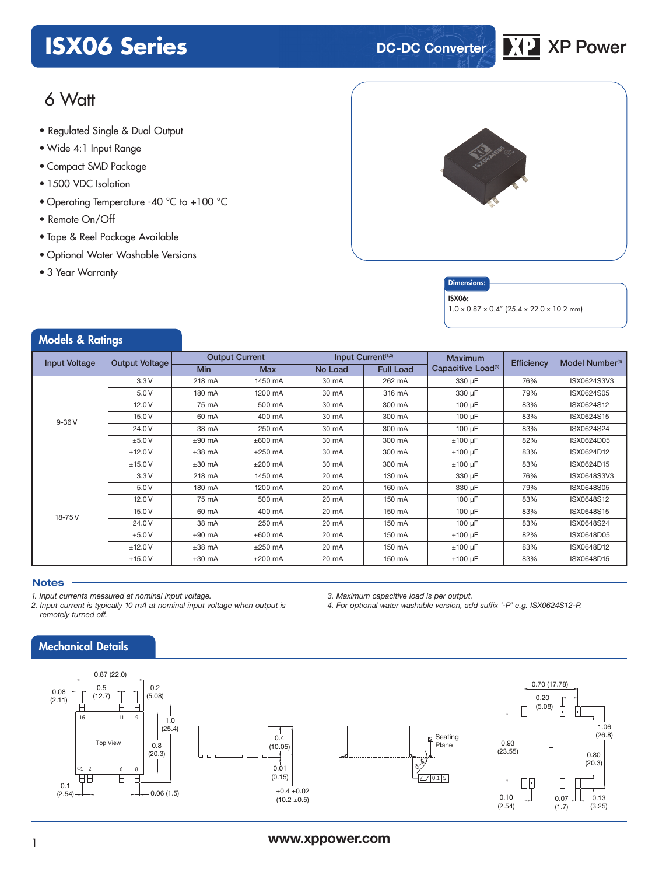# **ISX06 Series DC-DC Converter XP** XP Power



# $6$  Watt

- **xxx Series** Regulated Single & Dual Output
- Wide 4:1 Input Range
- Compact SMD Package
- 1500 VDC Isolation
- Operating Temperature -40 °C to +100 °C
- Remote On/Off
- Tape & Reel Package Available
- Optional Water Washable Versions
- 3 Year Warranty





#### ISX06:

1.0 x 0.87 x 0.4" (25.4 x 22.0 x 10.2 mm)

#### Models & Ratings Input Voltage Output Voltage Output Current Input Current<sup>(1,2</sup>) Maximum<br> **Input Voltage** Output Voltage Maximum Maximum Maximum Maximum Conseitive Let Maximum<br>Capacitive Load<sup>(3)</sup> Efficiency Model Number<sup>(4</sup>) Min | Max | No Load | Full Load 9-36 V 3.3 V 218 mA 1450 mA 30 mA 262 mA 330 μF 76% ISX0624S3V3 5.0 V 180 mA 1200 mA 30 mA 316 mA 330 μF 79% ISX0624S05 12.0 V | 75 mA | 500 mA | 30 mA | 300 mA | 100 μF | 83% | ISX0624S12 15.0 V | 60 mA | 400 mA | 30 mA | 300 mA | 100 μF | 83% | ISX0624S15 24.0 V | 38 mA | 250 mA | 30 mA | 300 mA | 100 μF | 83% | ISX0624S24 ±5.0 V ±90 mA ±600 mA 30 mA 300 mA ±100 μF 82% ISX0624D05 ±12.0 V ±38 mA ±250 mA 30 mA 300 mA ±100 μF 83% ISX0624D12 ±15.0 V ±30 mA ±200 mA 30 mA 300 mA ±100 μF 83% ISX0624D15 18-75 V 3.3 V 218 mA 1450 mA 20 mA 130 mA 330 μF 76% ISX0648S3V3 5.0 V | 180 mA | 1200 mA | 20 mA | 160 mA | 330 μF | 79% | ISX0648S05 12.0 V | 75 mA | 500 mA | 20 mA | 150 mA | 100 μF | 83% | ISX0648S12 15.0 V | 60 mA | 400 mA | 20 mA | 150 mA | 100 μF | 83% | ISX0648S15 24.0 V | 38 mA | 250 mA | 20 mA | 150 mA | 100 μF | 83% | ISX0648S24 ±5.0 V ±90 mA ±600 mA 20 mA 150 mA ±100 μF 82% ISX0648D05 ±12.0 V ±38 mA ±250 mA 20 mA 150 mA ±100 μF 83% ISX0648D12 ±15.0 V ±30 mA ±200 mA 20 mA 150 mA ±100 μF 83% ISX0648D15

#### **Notes**

*1. Input currents measured at nominal input voltage.* 

*2. Input current is typically 10 mA at nominal input voltage when output is remotely turned off.* 

### Mechanical Details



*3. Maximum capacitive load is per output.* 

*4. For optional water washable version, add suffix '-P' e.g. ISX0624S12-P.*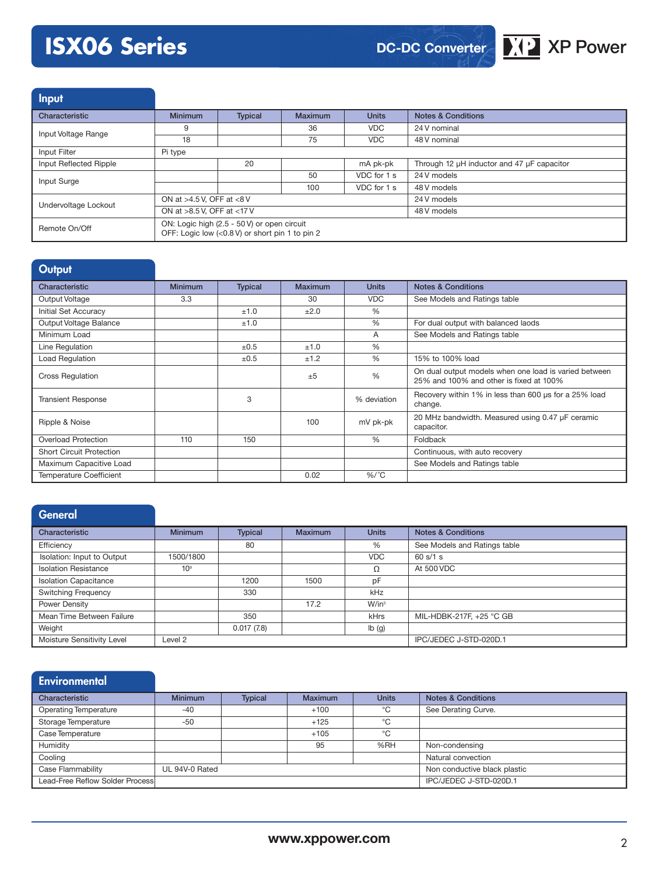# **ISX06 Series DC-DC Converter XP** XP Power



Input Characteristic Minimum | Typical | Maximum | Units | Notes & Conditions Input Voltage Range 9 36 VDC 24 V nominal 18 18 75 VDC 48 V nominal Input Filter Pi type

| Input Reflected Ripple |                                                                                                | 20 |             | mA pk-pk    | Through 12 µH inductor and 47 µF capacitor |
|------------------------|------------------------------------------------------------------------------------------------|----|-------------|-------------|--------------------------------------------|
| Input Surge            |                                                                                                |    | 50          | VDC for 1 s | 24 V models                                |
|                        |                                                                                                |    | 100         | VDC for 1 s | 48 V models                                |
| Undervoltage Lockout   | ON at $>4.5$ V. OFF at $<8$ V                                                                  |    | 24 V models |             |                                            |
|                        | ON at $>8.5$ V. OFF at $<17$ V                                                                 |    | 48 V models |             |                                            |
| Remote On/Off          | ON: Logic high (2.5 - 50 V) or open circuit<br>OFF: Logic low (<0.8 V) or short pin 1 to pin 2 |    |             |             |                                            |

| Output                          |                |                |                |               |                                                                                                  |
|---------------------------------|----------------|----------------|----------------|---------------|--------------------------------------------------------------------------------------------------|
| Characteristic                  | <b>Minimum</b> | <b>Typical</b> | <b>Maximum</b> | <b>Units</b>  | <b>Notes &amp; Conditions</b>                                                                    |
| Output Voltage                  | 3.3            |                | 30             | <b>VDC</b>    | See Models and Ratings table                                                                     |
| Initial Set Accuracy            |                | ±1.0           | ±2.0           | $\%$          |                                                                                                  |
| Output Voltage Balance          |                | ±1.0           |                | $\%$          | For dual output with balanced laods                                                              |
| Minimum Load                    |                |                |                | A             | See Models and Ratings table                                                                     |
| Line Regulation                 |                | ±0.5           | ±1.0           | $\%$          |                                                                                                  |
| Load Regulation                 |                | ±0.5           | ±1.2           | $\%$          | 15% to 100% load                                                                                 |
| <b>Cross Regulation</b>         |                |                | ±5             | $\frac{0}{6}$ | On dual output models when one load is varied between<br>25% and 100% and other is fixed at 100% |
| <b>Transient Response</b>       |                | 3              |                | % deviation   | Recovery within 1% in less than 600 us for a 25% load<br>change.                                 |
| Ripple & Noise                  |                |                | 100            | mV pk-pk      | 20 MHz bandwidth. Measured using 0.47 µF ceramic<br>capacitor.                                   |
| <b>Overload Protection</b>      | 110            | 150            |                | $\%$          | Foldback                                                                                         |
| <b>Short Circuit Protection</b> |                |                |                |               | Continuous, with auto recovery                                                                   |
| Maximum Capacitive Load         |                |                |                |               | See Models and Ratings table                                                                     |
| <b>Temperature Coefficient</b>  |                |                | 0.02           | $%$ /°C       |                                                                                                  |

### General

| Characteristic               | <b>Minimum</b>  | <b>Typical</b> | <b>Maximum</b> | <b>Units</b> | <b>Notes &amp; Conditions</b> |
|------------------------------|-----------------|----------------|----------------|--------------|-------------------------------|
| Efficiency                   |                 | 80             |                | %            | See Models and Ratings table  |
| Isolation: Input to Output   | 1500/1800       |                |                | <b>VDC</b>   | 60 s/1 s                      |
| <b>Isolation Resistance</b>  | 10 <sup>9</sup> |                |                | Ω            | At 500 VDC                    |
| <b>Isolation Capacitance</b> |                 | 1200           | 1500           | pF           |                               |
| <b>Switching Frequency</b>   |                 | 330            |                | kHz          |                               |
| Power Density                |                 |                | 17.2           | $W/in^3$     |                               |
| Mean Time Between Failure    |                 | 350            |                | <b>kHrs</b>  | MIL-HDBK-217F, +25 °C GB      |
| Weight                       |                 | 0.017(7.8)     |                | Ib(g)        |                               |
| Moisture Sensitivity Level   | Level 2         |                |                |              | IPC/JEDEC J-STD-020D.1        |

#### **Environmental**

| Characteristic                  | <b>Minimum</b> | <b>Typical</b> | <b>Maximum</b> | <b>Units</b> | <b>Notes &amp; Conditions</b> |
|---------------------------------|----------------|----------------|----------------|--------------|-------------------------------|
| <b>Operating Temperature</b>    | $-40$          |                | $+100$         | °€           | See Derating Curve.           |
| Storage Temperature             | $-50$          |                | $+125$         | °€           |                               |
| Case Temperature                |                |                | $+105$         | °C           |                               |
| Humidity                        |                |                | 95             | %RH          | Non-condensing                |
| Cooling                         |                |                |                |              | Natural convection            |
| Case Flammability               | UL 94V-0 Rated |                |                |              | Non conductive black plastic  |
| Lead-Free Reflow Solder Process |                |                |                |              | IPC/JEDEC J-STD-020D.1        |